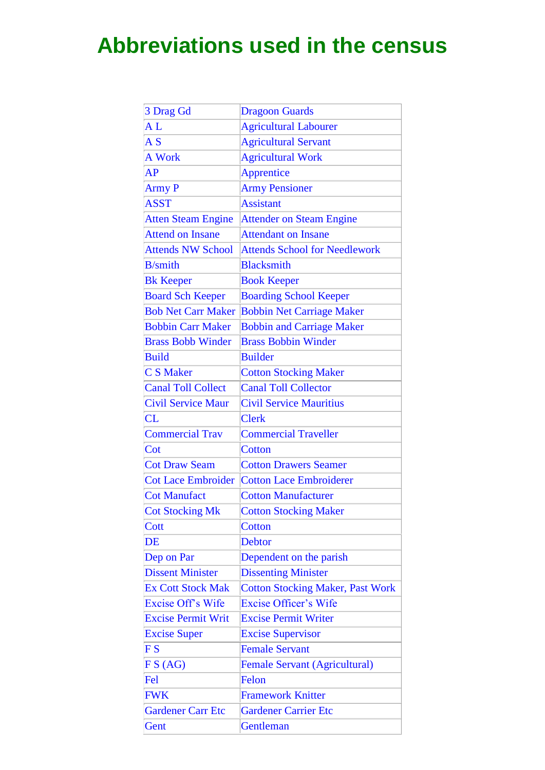## **Abbreviations used in the census**

| 3 Drag Gd                                          | <b>Dragoon Guards</b>                   |
|----------------------------------------------------|-----------------------------------------|
| AL                                                 | <b>Agricultural Labourer</b>            |
| $\overline{A}$ S                                   | <b>Agricultural Servant</b>             |
| <b>A Work</b>                                      | <b>Agricultural Work</b>                |
| AP                                                 | Apprentice                              |
| <b>Army P</b>                                      | <b>Army Pensioner</b>                   |
| <b>ASST</b>                                        | <b>Assistant</b>                        |
| <b>Atten Steam Engine</b>                          | <b>Attender on Steam Engine</b>         |
| <b>Attend on Insane</b>                            | <b>Attendant on Insane</b>              |
| <b>Attends NW School</b>                           | <b>Attends School for Needlework</b>    |
| <b>B</b> /smith                                    | <b>Blacksmith</b>                       |
| <b>Bk Keeper</b>                                   | <b>Book Keeper</b>                      |
| <b>Board Sch Keeper</b>                            | <b>Boarding School Keeper</b>           |
| <b>Bob Net Carr Maker</b>                          | <b>Bobbin Net Carriage Maker</b>        |
| <b>Bobbin Carr Maker</b>                           | <b>Bobbin and Carriage Maker</b>        |
| <b>Brass Bobb Winder</b>                           | <b>Brass Bobbin Winder</b>              |
| <b>Build</b>                                       | <b>Builder</b>                          |
| <b>CS Maker</b>                                    | <b>Cotton Stocking Maker</b>            |
| <b>Canal Toll Collect</b>                          | <b>Canal Toll Collector</b>             |
| <b>Civil Service Maur</b>                          | <b>Civil Service Mauritius</b>          |
| CL                                                 | <b>Clerk</b>                            |
| <b>Commercial Trav</b>                             | <b>Commercial Traveller</b>             |
| Cot                                                | <b>Cotton</b>                           |
| <b>Cot Draw Seam</b>                               | <b>Cotton Drawers Seamer</b>            |
| <b>Cot Lace Embroider</b>                          | <b>Cotton Lace Embroiderer</b>          |
| <b>Cot Manufact</b>                                | <b>Cotton Manufacturer</b>              |
| <b>Cot Stocking Mk</b>                             | <b>Cotton Stocking Maker</b>            |
| Cott                                               | <b>Cotton</b>                           |
| $\overline{\rm DE}$                                | <b>Debtor</b>                           |
| Dep on Par                                         | Dependent on the parish                 |
| <b>Dissent Minister</b>                            | <b>Dissenting Minister</b>              |
| <b>Ex Cott Stock Mak</b>                           | <b>Cotton Stocking Maker, Past Work</b> |
| <b>Excise Off's Wife</b>                           | <b>Excise Officer's Wife</b>            |
| <b>Excise Permit Writ</b>                          | <b>Excise Permit Writer</b>             |
| <b>Excise Super</b>                                | <b>Excise Supervisor</b>                |
| $\boldsymbol{\mathrm{F}}\,\boldsymbol{\mathrm{S}}$ | <b>Female Servant</b>                   |
| FS(AG)                                             | Female Servant (Agricultural)           |
| Fel                                                | Felon                                   |
| <b>FWK</b>                                         | <b>Framework Knitter</b>                |
| <b>Gardener Carr Etc</b>                           | <b>Gardener Carrier Etc</b>             |
| Gent                                               | Gentleman                               |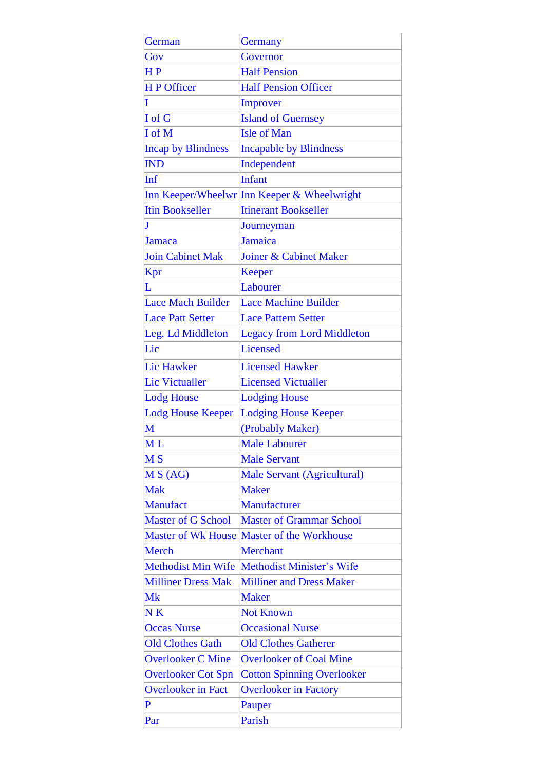| German                    | <b>Germany</b>                              |
|---------------------------|---------------------------------------------|
| Gov                       | Governor                                    |
| HP                        | <b>Half Pension</b>                         |
| <b>HP</b> Officer         | <b>Half Pension Officer</b>                 |
| I                         | Improver                                    |
| I of G                    | <b>Island of Guernsey</b>                   |
| <b>I</b> of M             | <b>Isle of Man</b>                          |
| <b>Incap by Blindness</b> | <b>Incapable by Blindness</b>               |
| <b>IND</b>                | Independent                                 |
| Inf                       | <b>Infant</b>                               |
|                           | Inn Keeper/Wheelwr Inn Keeper & Wheelwright |
| <b>Itin Bookseller</b>    | <b>Itinerant Bookseller</b>                 |
| $\bf J$                   | Journeyman                                  |
| Jamaca                    | Jamaica                                     |
| <b>Join Cabinet Mak</b>   | Joiner & Cabinet Maker                      |
| Kpr                       | <b>Keeper</b>                               |
| L                         | Labourer                                    |
| <b>Lace Mach Builder</b>  | <b>Lace Machine Builder</b>                 |
| <b>Lace Patt Setter</b>   | <b>Lace Pattern Setter</b>                  |
| Leg. Ld Middleton         | <b>Legacy from Lord Middleton</b>           |
| Lic                       | Licensed                                    |
| <b>Lic Hawker</b>         | <b>Licensed Hawker</b>                      |
| <b>Lic Victualler</b>     | <b>Licensed Victualler</b>                  |
| <b>Lodg House</b>         | <b>Lodging House</b>                        |
| <b>Lodg House Keeper</b>  | <b>Lodging House Keeper</b>                 |
| M                         | (Probably Maker)                            |
| МL                        | <b>Male Labourer</b>                        |
| M <sub>S</sub>            | <b>Male Servant</b>                         |
| MS(AG)                    | Male Servant (Agricultural)                 |
| <b>Mak</b>                | <b>Maker</b>                                |
| <b>Manufact</b>           | Manufacturer                                |
| <b>Master of G School</b> | <b>Master of Grammar School</b>             |
| <b>Master of Wk House</b> | Master of the Workhouse                     |
| Merch                     | <b>Merchant</b>                             |
| <b>Methodist Min Wife</b> | Methodist Minister's Wife                   |
| <b>Milliner Dress Mak</b> | <b>Milliner and Dress Maker</b>             |
| Mk                        | <b>Maker</b>                                |
| N <sub>K</sub>            | <b>Not Known</b>                            |
| <b>Occas Nurse</b>        | <b>Occasional Nurse</b>                     |
| <b>Old Clothes Gath</b>   | <b>Old Clothes Gatherer</b>                 |
| <b>Overlooker C Mine</b>  | <b>Overlooker of Coal Mine</b>              |
| <b>Overlooker Cot Spn</b> | <b>Cotton Spinning Overlooker</b>           |
| <b>Overlooker in Fact</b> | <b>Overlooker in Factory</b>                |
| P                         | Pauper                                      |
| Par                       | Parish                                      |